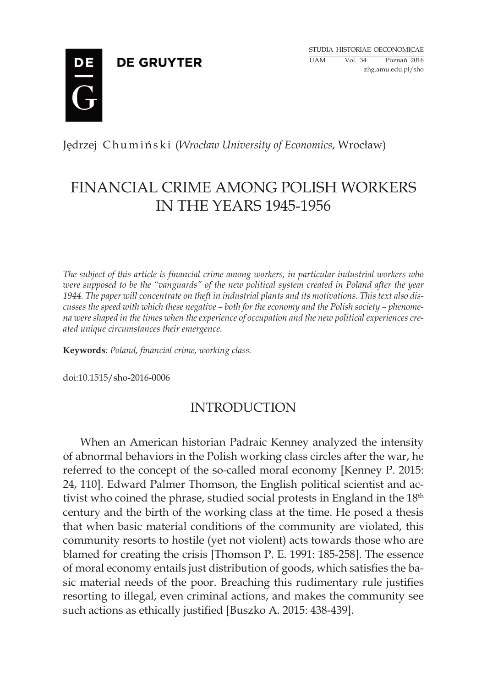**DE GRUYTER** 



### Jędrzej Chumiński (*Wrocław University of Economics*, Wrocław)

# FINANCIAL CRIME AMONG POLISH WORKERS IN THE YEARS 1945-1956

*The subject of this article is financial crime among workers, in particular industrial workers who were supposed to be the "vanguards" of the new political system created in Poland after the year 1944. The paper will concentrate on theft in industrial plants and its motivations. This text also discusses the speed with which these negative – both for the economy and the Polish society – phenomena were shaped in the times when the experience of occupation and the new political experiences created unique circumstances their emergence.*

**Keywords***: Poland, financial crime, working class.*

doi:10.1515/sho-2016-0006

## INTRODUCTION

When an American historian Padraic Kenney analyzed the intensity of abnormal behaviors in the Polish working class circles after the war, he referred to the concept of the so-called moral economy [Kenney P. 2015: 24, 110]. Edward Palmer Thomson, the English political scientist and activist who coined the phrase, studied social protests in England in the  $18<sup>th</sup>$ century and the birth of the working class at the time. He posed a thesis that when basic material conditions of the community are violated, this community resorts to hostile (yet not violent) acts towards those who are blamed for creating the crisis [Thomson P. E. 1991: 185-258]. The essence of moral economy entails just distribution of goods, which satisfies the basic material needs of the poor. Breaching this rudimentary rule justifies resorting to illegal, even criminal actions, and makes the community see such actions as ethically justified [Buszko A. 2015: 438-439].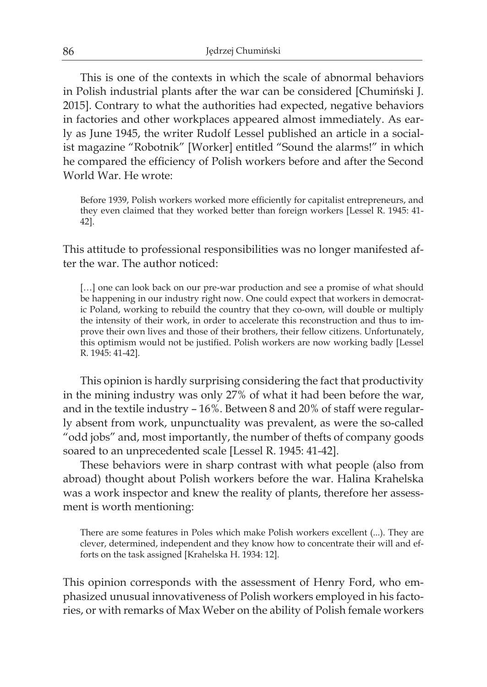This is one of the contexts in which the scale of abnormal behaviors in Polish industrial plants after the war can be considered [Chumiński J. 2015]. Contrary to what the authorities had expected, negative behaviors in factories and other workplaces appeared almost immediately. As early as June 1945, the writer Rudolf Lessel published an article in a socialist magazine "Robotnik" [Worker] entitled "Sound the alarms!" in which he compared the efficiency of Polish workers before and after the Second World War. He wrote:

Before 1939, Polish workers worked more efficiently for capitalist entrepreneurs, and they even claimed that they worked better than foreign workers [Lessel R. 1945: 41- 42].

This attitude to professional responsibilities was no longer manifested after the war. The author noticed:

[...] one can look back on our pre-war production and see a promise of what should be happening in our industry right now. One could expect that workers in democratic Poland, working to rebuild the country that they co-own, will double or multiply the intensity of their work, in order to accelerate this reconstruction and thus to improve their own lives and those of their brothers, their fellow citizens. Unfortunately, this optimism would not be justified. Polish workers are now working badly [Lessel R. 1945: 41-42].

This opinion is hardly surprising considering the fact that productivity in the mining industry was only 27% of what it had been before the war, and in the textile industry – 16%. Between 8 and 20% of staff were regularly absent from work, unpunctuality was prevalent, as were the so-called "odd jobs" and, most importantly, the number of thefts of company goods soared to an unprecedented scale [Lessel R. 1945: 41-42].

These behaviors were in sharp contrast with what people (also from abroad) thought about Polish workers before the war. Halina Krahelska was a work inspector and knew the reality of plants, therefore her assessment is worth mentioning:

There are some features in Poles which make Polish workers excellent (...). They are clever, determined, independent and they know how to concentrate their will and efforts on the task assigned [Krahelska H. 1934: 12].

This opinion corresponds with the assessment of Henry Ford, who emphasized unusual innovativeness of Polish workers employed in his factories, or with remarks of Max Weber on the ability of Polish female workers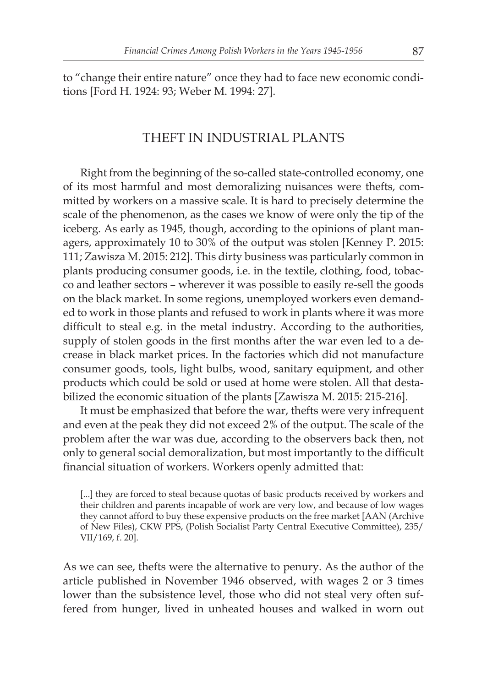to "change their entire nature" once they had to face new economic conditions [Ford H. 1924: 93; Weber M. 1994: 27].

#### THEFT IN INDUSTRIAL PLANTS

Right from the beginning of the so-called state-controlled economy, one of its most harmful and most demoralizing nuisances were thefts, committed by workers on a massive scale. It is hard to precisely determine the scale of the phenomenon, as the cases we know of were only the tip of the iceberg. As early as 1945, though, according to the opinions of plant managers, approximately 10 to 30% of the output was stolen [Kenney P. 2015: 111; Zawisza M. 2015: 212]. This dirty business was particularly common in plants producing consumer goods, i.e. in the textile, clothing, food, tobacco and leather sectors – wherever it was possible to easily re-sell the goods on the black market. In some regions, unemployed workers even demanded to work in those plants and refused to work in plants where it was more difficult to steal e.g. in the metal industry. According to the authorities, supply of stolen goods in the first months after the war even led to a decrease in black market prices. In the factories which did not manufacture consumer goods, tools, light bulbs, wood, sanitary equipment, and other products which could be sold or used at home were stolen. All that destabilized the economic situation of the plants [Zawisza M. 2015: 215-216].

It must be emphasized that before the war, thefts were very infrequent and even at the peak they did not exceed 2% of the output. The scale of the problem after the war was due, according to the observers back then, not only to general social demoralization, but most importantly to the difficult financial situation of workers. Workers openly admitted that:

[...] they are forced to steal because quotas of basic products received by workers and their children and parents incapable of work are very low, and because of low wages they cannot afford to buy these expensive products on the free market [AAN (Archive of New Files), CKW PPS, (Polish Socialist Party Central Executive Committee), 235/ VII/169, f. 20].

As we can see, thefts were the alternative to penury. As the author of the article published in November 1946 observed, with wages 2 or 3 times lower than the subsistence level, those who did not steal very often suffered from hunger, lived in unheated houses and walked in worn out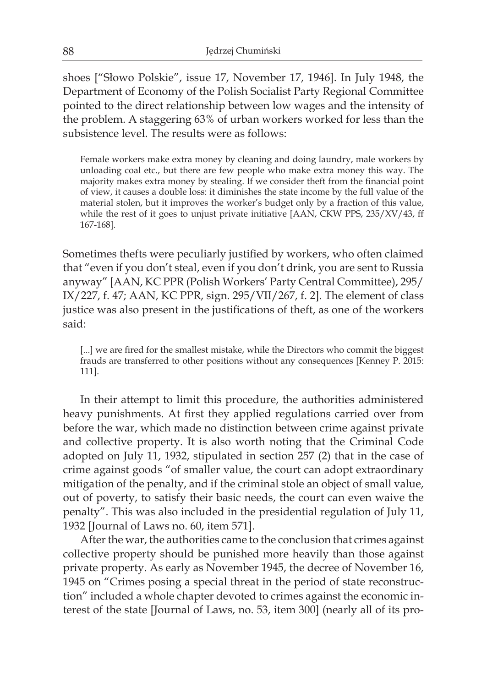shoes ["Słowo Polskie", issue 17, November 17, 1946]. In July 1948, the Department of Economy of the Polish Socialist Party Regional Committee pointed to the direct relationship between low wages and the intensity of the problem. A staggering 63% of urban workers worked for less than the subsistence level. The results were as follows:

Female workers make extra money by cleaning and doing laundry, male workers by unloading coal etc., but there are few people who make extra money this way. The majority makes extra money by stealing. If we consider theft from the financial point of view, it causes a double loss: it diminishes the state income by the full value of the material stolen, but it improves the worker's budget only by a fraction of this value, while the rest of it goes to unjust private initiative [AAN, CKW PPS, 235/XV/43, ff 167-168].

Sometimes thefts were peculiarly justified by workers, who often claimed that "even if you don't steal, even if you don't drink, you are sent to Russia anyway" [AAN, KC PPR (Polish Workers' Party Central Committee), 295/ IX/227, f. 47; AAN, KC PPR, sign. 295/VII/267, f. 2]. The element of class justice was also present in the justifications of theft, as one of the workers said:

[...] we are fired for the smallest mistake, while the Directors who commit the biggest frauds are transferred to other positions without any consequences [Kenney P. 2015: 111].

In their attempt to limit this procedure, the authorities administered heavy punishments. At first they applied regulations carried over from before the war, which made no distinction between crime against private and collective property. It is also worth noting that the Criminal Code adopted on July 11, 1932, stipulated in section 257 (2) that in the case of crime against goods "of smaller value, the court can adopt extraordinary mitigation of the penalty, and if the criminal stole an object of small value, out of poverty, to satisfy their basic needs, the court can even waive the penalty". This was also included in the presidential regulation of July 11, 1932 [Journal of Laws no. 60, item 571].

After the war, the authorities came to the conclusion that crimes against collective property should be punished more heavily than those against private property. As early as November 1945, the decree of November 16, 1945 on "Crimes posing a special threat in the period of state reconstruction" included a whole chapter devoted to crimes against the economic interest of the state [Journal of Laws, no. 53, item 300] (nearly all of its pro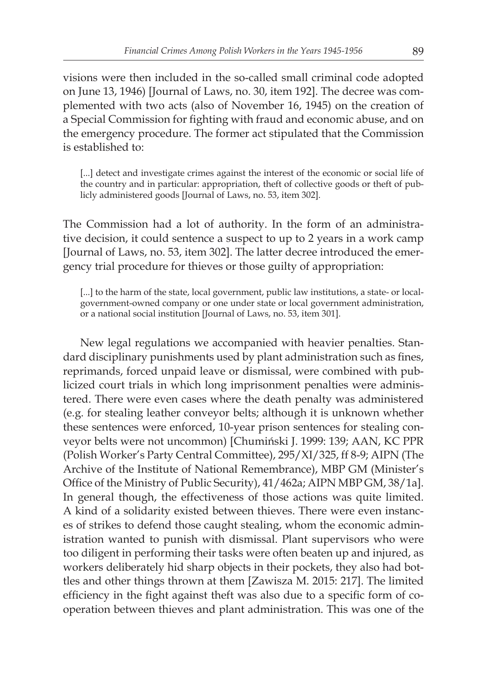visions were then included in the so-called small criminal code adopted on June 13, 1946) [Journal of Laws, no. 30, item 192]. The decree was complemented with two acts (also of November 16, 1945) on the creation of a Special Commission for fighting with fraud and economic abuse, and on the emergency procedure. The former act stipulated that the Commission is established to:

[...] detect and investigate crimes against the interest of the economic or social life of the country and in particular: appropriation, theft of collective goods or theft of publicly administered goods [Journal of Laws, no. 53, item 302].

The Commission had a lot of authority. In the form of an administrative decision, it could sentence a suspect to up to 2 years in a work camp [Journal of Laws, no. 53, item 302]. The latter decree introduced the emergency trial procedure for thieves or those guilty of appropriation:

[...] to the harm of the state, local government, public law institutions, a state- or localgovernment-owned company or one under state or local government administration, or a national social institution [Journal of Laws, no. 53, item 301].

New legal regulations we accompanied with heavier penalties. Standard disciplinary punishments used by plant administration such as fines, reprimands, forced unpaid leave or dismissal, were combined with publicized court trials in which long imprisonment penalties were administered. There were even cases where the death penalty was administered (e.g. for stealing leather conveyor belts; although it is unknown whether these sentences were enforced, 10-year prison sentences for stealing conveyor belts were not uncommon) [Chumiński J. 1999: 139; AAN, KC PPR (Polish Worker's Party Central Committee), 295/XI/325, ff 8-9; AIPN (The Archive of the Institute of National Remembrance), MBP GM (Minister's Office of the Ministry of Public Security), 41/462a; AIPN MBP GM, 38/1a]. In general though, the effectiveness of those actions was quite limited. A kind of a solidarity existed between thieves. There were even instances of strikes to defend those caught stealing, whom the economic administration wanted to punish with dismissal. Plant supervisors who were too diligent in performing their tasks were often beaten up and injured, as workers deliberately hid sharp objects in their pockets, they also had bottles and other things thrown at them [Zawisza M. 2015: 217]. The limited efficiency in the fight against theft was also due to a specific form of cooperation between thieves and plant administration. This was one of the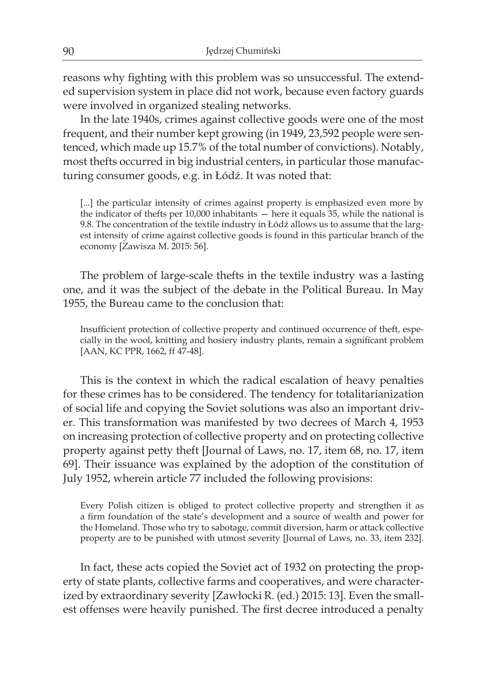reasons why fighting with this problem was so unsuccessful. The extended supervision system in place did not work, because even factory guards were involved in organized stealing networks.

In the late 1940s, crimes against collective goods were one of the most frequent, and their number kept growing (in 1949, 23,592 people were sentenced, which made up 15.7% of the total number of convictions). Notably, most thefts occurred in big industrial centers, in particular those manufacturing consumer goods, e.g. in Łódź. It was noted that:

[...] the particular intensity of crimes against property is emphasized even more by the indicator of thefts per 10,000 inhabitants — here it equals 35, while the national is 9.8. The concentration of the textile industry in Łódź allows us to assume that the largest intensity of crime against collective goods is found in this particular branch of the economy [Zawisza M. 2015: 56].

The problem of large-scale thefts in the textile industry was a lasting one, and it was the subject of the debate in the Political Bureau. In May 1955, the Bureau came to the conclusion that:

Insufficient protection of collective property and continued occurrence of theft, especially in the wool, knitting and hosiery industry plants, remain a significant problem [AAN, KC PPR, 1662, ff 47-48].

This is the context in which the radical escalation of heavy penalties for these crimes has to be considered. The tendency for totalitarianization of social life and copying the Soviet solutions was also an important driver. This transformation was manifested by two decrees of March 4, 1953 on increasing protection of collective property and on protecting collective property against petty theft [Journal of Laws, no. 17, item 68, no. 17, item 69]. Their issuance was explained by the adoption of the constitution of July 1952, wherein article 77 included the following provisions:

Every Polish citizen is obliged to protect collective property and strengthen it as a firm foundation of the state's development and a source of wealth and power for the Homeland. Those who try to sabotage, commit diversion, harm or attack collective property are to be punished with utmost severity [Journal of Laws, no. 33, item 232].

In fact, these acts copied the Soviet act of 1932 on protecting the property of state plants, collective farms and cooperatives, and were characterized by extraordinary severity [Zawłocki R. (ed.) 2015: 13]. Even the smallest offenses were heavily punished. The first decree introduced a penalty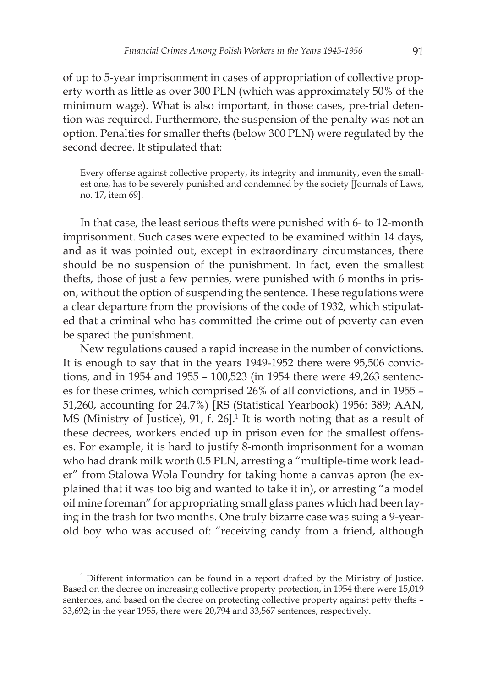of up to 5-year imprisonment in cases of appropriation of collective property worth as little as over 300 PLN (which was approximately 50% of the minimum wage). What is also important, in those cases, pre-trial detention was required. Furthermore, the suspension of the penalty was not an option. Penalties for smaller thefts (below 300 PLN) were regulated by the second decree. It stipulated that:

Every offense against collective property, its integrity and immunity, even the smallest one, has to be severely punished and condemned by the society [Journals of Laws, no. 17, item 69].

In that case, the least serious thefts were punished with 6- to 12-month imprisonment. Such cases were expected to be examined within 14 days, and as it was pointed out, except in extraordinary circumstances, there should be no suspension of the punishment. In fact, even the smallest thefts, those of just a few pennies, were punished with 6 months in prison, without the option of suspending the sentence. These regulations were a clear departure from the provisions of the code of 1932, which stipulated that a criminal who has committed the crime out of poverty can even be spared the punishment.

New regulations caused a rapid increase in the number of convictions. It is enough to say that in the years 1949-1952 there were 95,506 convictions, and in 1954 and 1955 – 100,523 (in 1954 there were 49,263 sentences for these crimes, which comprised 26% of all convictions, and in 1955 – 51,260, accounting for 24.7%) [RS (Statistical Yearbook) 1956: 389; AAN, MS (Ministry of Justice), 91, f. 26].<sup>1</sup> It is worth noting that as a result of these decrees, workers ended up in prison even for the smallest offenses. For example, it is hard to justify 8-month imprisonment for a woman who had drank milk worth 0.5 PLN, arresting a "multiple-time work leader" from Stalowa Wola Foundry for taking home a canvas apron (he explained that it was too big and wanted to take it in), or arresting "a model oil mine foreman" for appropriating small glass panes which had been laying in the trash for two months. One truly bizarre case was suing a 9-yearold boy who was accused of: "receiving candy from a friend, although

<sup>&</sup>lt;sup>1</sup> Different information can be found in a report drafted by the Ministry of Justice. Based on the decree on increasing collective property protection, in 1954 there were 15,019 sentences, and based on the decree on protecting collective property against petty thefts – 33,692; in the year 1955, there were 20,794 and 33,567 sentences, respectively.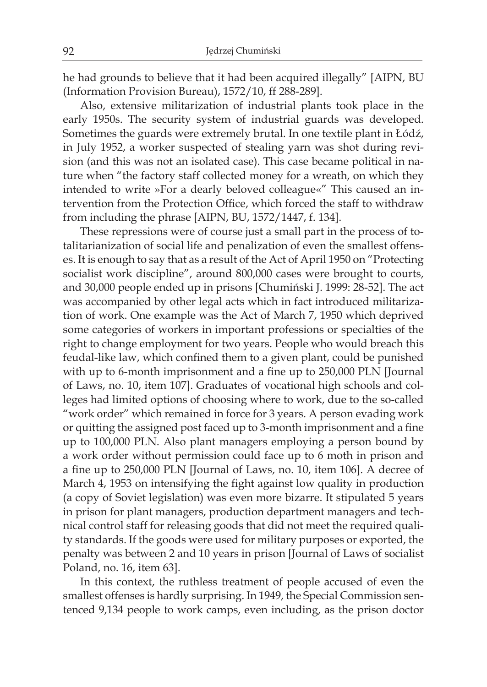he had grounds to believe that it had been acquired illegally" [AIPN, BU (Information Provision Bureau), 1572/10, ff 288-289].

Also, extensive militarization of industrial plants took place in the early 1950s. The security system of industrial guards was developed. Sometimes the guards were extremely brutal. In one textile plant in Łódź, in July 1952, a worker suspected of stealing yarn was shot during revision (and this was not an isolated case). This case became political in nature when "the factory staff collected money for a wreath, on which they intended to write »For a dearly beloved colleague«" This caused an intervention from the Protection Office, which forced the staff to withdraw from including the phrase [AIPN, BU, 1572/1447, f. 134].

These repressions were of course just a small part in the process of totalitarianization of social life and penalization of even the smallest offenses. It is enough to say that as a result of the Act of April 1950 on "Protecting socialist work discipline", around 800,000 cases were brought to courts, and 30,000 people ended up in prisons [Chumiński J. 1999: 28-52]. The act was accompanied by other legal acts which in fact introduced militarization of work. One example was the Act of March 7, 1950 which deprived some categories of workers in important professions or specialties of the right to change employment for two years. People who would breach this feudal-like law, which confined them to a given plant, could be punished with up to 6-month imprisonment and a fine up to 250,000 PLN [Journal of Laws, no. 10, item 107]. Graduates of vocational high schools and colleges had limited options of choosing where to work, due to the so-called "work order" which remained in force for 3 years. A person evading work or quitting the assigned post faced up to 3-month imprisonment and a fine up to 100,000 PLN. Also plant managers employing a person bound by a work order without permission could face up to 6 moth in prison and a fine up to 250,000 PLN [Journal of Laws, no. 10, item 106]. A decree of March 4, 1953 on intensifying the fight against low quality in production (a copy of Soviet legislation) was even more bizarre. It stipulated 5 years in prison for plant managers, production department managers and technical control staff for releasing goods that did not meet the required quality standards. If the goods were used for military purposes or exported, the penalty was between 2 and 10 years in prison [Journal of Laws of socialist Poland, no. 16, item 63].

In this context, the ruthless treatment of people accused of even the smallest offenses is hardly surprising. In 1949, the Special Commission sentenced 9,134 people to work camps, even including, as the prison doctor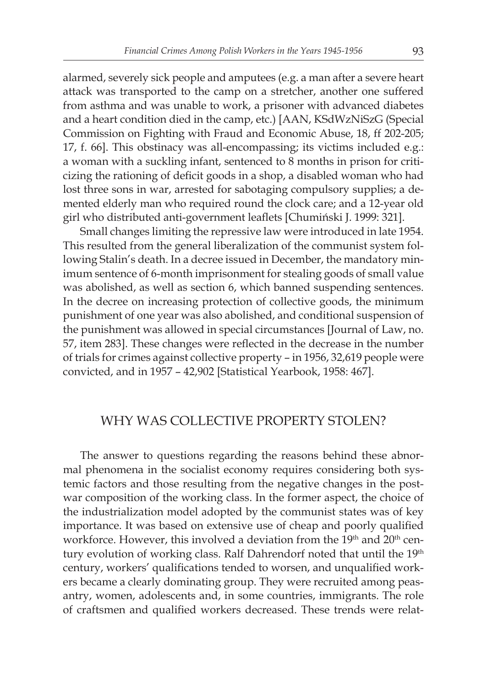alarmed, severely sick people and amputees (e.g. a man after a severe heart attack was transported to the camp on a stretcher, another one suffered from asthma and was unable to work, a prisoner with advanced diabetes and a heart condition died in the camp, etc.) [AAN, KSdWzNiSzG (Special Commission on Fighting with Fraud and Economic Abuse, 18, ff 202-205; 17, f. 66]. This obstinacy was all-encompassing; its victims included e.g.: a woman with a suckling infant, sentenced to 8 months in prison for criticizing the rationing of deficit goods in a shop, a disabled woman who had lost three sons in war, arrested for sabotaging compulsory supplies; a demented elderly man who required round the clock care; and a 12-year old girl who distributed anti-government leaflets [Chumiński J. 1999: 321].

Small changes limiting the repressive law were introduced in late 1954. This resulted from the general liberalization of the communist system following Stalin's death. In a decree issued in December, the mandatory minimum sentence of 6-month imprisonment for stealing goods of small value was abolished, as well as section 6, which banned suspending sentences. In the decree on increasing protection of collective goods, the minimum punishment of one year was also abolished, and conditional suspension of the punishment was allowed in special circumstances [Journal of Law, no. 57, item 283]. These changes were reflected in the decrease in the number of trials for crimes against collective property – in 1956, 32,619 people were convicted, and in 1957 – 42,902 [Statistical Yearbook, 1958: 467].

#### WHY WAS COLLECTIVE PROPERTY STOLEN?

The answer to questions regarding the reasons behind these abnormal phenomena in the socialist economy requires considering both systemic factors and those resulting from the negative changes in the postwar composition of the working class. In the former aspect, the choice of the industrialization model adopted by the communist states was of key importance. It was based on extensive use of cheap and poorly qualified workforce. However, this involved a deviation from the 19<sup>th</sup> and 20<sup>th</sup> century evolution of working class. Ralf Dahrendorf noted that until the 19<sup>th</sup> century, workers' qualifications tended to worsen, and unqualified workers became a clearly dominating group. They were recruited among peasantry, women, adolescents and, in some countries, immigrants. The role of craftsmen and qualified workers decreased. These trends were relat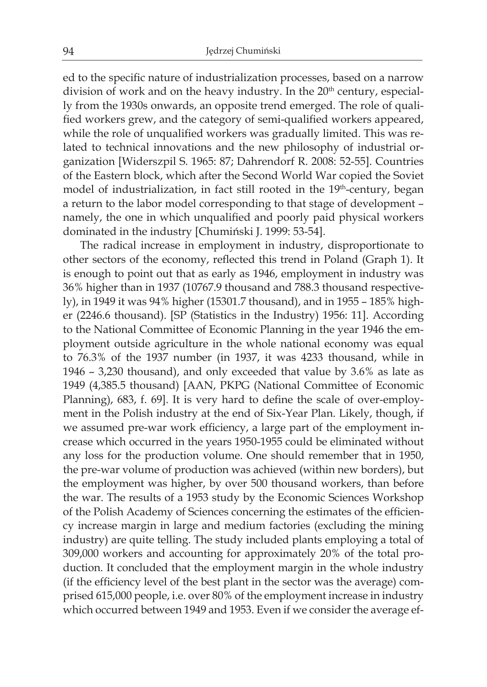ed to the specific nature of industrialization processes, based on a narrow division of work and on the heavy industry. In the 20<sup>th</sup> century, especially from the 1930s onwards, an opposite trend emerged. The role of qualified workers grew, and the category of semi-qualified workers appeared, while the role of unqualified workers was gradually limited. This was related to technical innovations and the new philosophy of industrial organization [Widerszpil S. 1965: 87; Dahrendorf R. 2008: 52-55]. Countries of the Eastern block, which after the Second World War copied the Soviet model of industrialization, in fact still rooted in the 19<sup>th</sup>-century, began a return to the labor model corresponding to that stage of development – namely, the one in which unqualified and poorly paid physical workers dominated in the industry [Chumiński J. 1999: 53-54].

The radical increase in employment in industry, disproportionate to other sectors of the economy, reflected this trend in Poland (Graph 1). It is enough to point out that as early as 1946, employment in industry was 36% higher than in 1937 (10767.9 thousand and 788.3 thousand respectively), in 1949 it was 94% higher (15301.7 thousand), and in 1955 – 185% higher (2246.6 thousand). [SP (Statistics in the Industry) 1956: 11]. According to the National Committee of Economic Planning in the year 1946 the employment outside agriculture in the whole national economy was equal to 76.3% of the 1937 number (in 1937, it was 4233 thousand, while in 1946 – 3,230 thousand), and only exceeded that value by 3.6% as late as 1949 (4,385.5 thousand) [AAN, PKPG (National Committee of Economic Planning), 683, f. 69]. It is very hard to define the scale of over-employment in the Polish industry at the end of Six-Year Plan. Likely, though, if we assumed pre-war work efficiency, a large part of the employment increase which occurred in the years 1950-1955 could be eliminated without any loss for the production volume. One should remember that in 1950, the pre-war volume of production was achieved (within new borders), but the employment was higher, by over 500 thousand workers, than before the war. The results of a 1953 study by the Economic Sciences Workshop of the Polish Academy of Sciences concerning the estimates of the efficiency increase margin in large and medium factories (excluding the mining industry) are quite telling. The study included plants employing a total of 309,000 workers and accounting for approximately 20% of the total production. It concluded that the employment margin in the whole industry (if the efficiency level of the best plant in the sector was the average) comprised 615,000 people, i.e. over 80% of the employment increase in industry which occurred between 1949 and 1953. Even if we consider the average ef-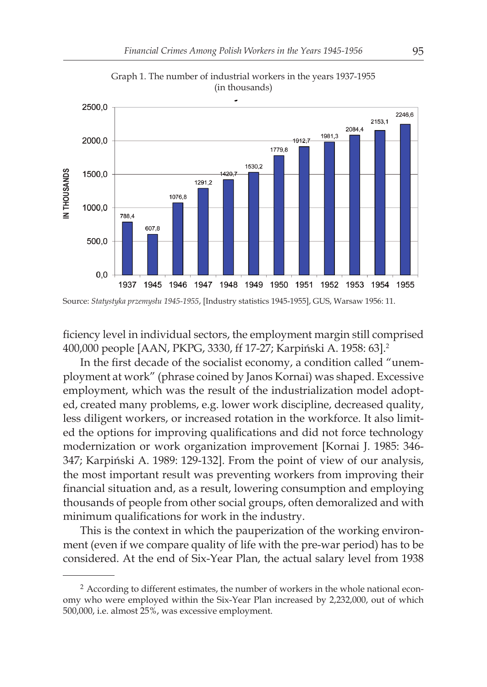

Graph 1. The number of industrial workers in the years 1937-1955 (in thousands)

ficiency level in individual sectors, the employment margin still comprised 400,000 people [AAN, PKPG, 3330, ff 17-27; Karpiński A. 1958: 63].<sup>2</sup>

In the first decade of the socialist economy, a condition called "unemployment at work" (phrase coined by Janos Kornai) was shaped. Excessive employment, which was the result of the industrialization model adopted, created many problems, e.g. lower work discipline, decreased quality, less diligent workers, or increased rotation in the workforce. It also limited the options for improving qualifications and did not force technology modernization or work organization improvement [Kornai J. 1985: 346- 347; Karpiński A. 1989: 129-132]. From the point of view of our analysis, the most important result was preventing workers from improving their financial situation and, as a result, lowering consumption and employing thousands of people from other social groups, often demoralized and with minimum qualifications for work in the industry.

This is the context in which the pauperization of the working environment (even if we compare quality of life with the pre-war period) has to be considered. At the end of Six-Year Plan, the actual salary level from 1938

<sup>2</sup> According to different estimates, the number of workers in the whole national economy who were employed within the Six-Year Plan increased by 2,232,000, out of which 500,000, i.e. almost 25%, was excessive employment.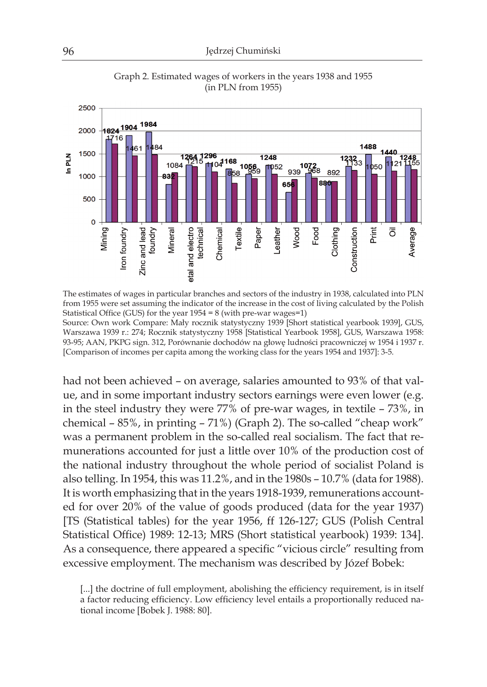

Graph 2. Estimated wages of workers in the years 1938 and 1955 (in PLN from 1955)

The estimates of wages in particular branches and sectors of the industry in 1938, calculated into PLN from 1955 were set assuming the indicator of the increase in the cost of living calculated by the Polish Statistical Office (GUS) for the year 1954 = 8 (with pre-war wages=1) Source: Own work Compare: Mały rocznik statystyczny 1939 [Short statistical yearbook 1939], GUS, Warszawa 1939 r.: 274; Rocznik statystyczny 1958 [Statistical Yearbook 1958], GUS, Warszawa 1958: 93-95; AAN, PKPG sign. 312, Porównanie dochodów na głowę ludności pracowniczej w 1954 i 1937 r. [Comparison of incomes per capita among the working class for the years 1954 and 1937]: 3-5.

had not been achieved – on average, salaries amounted to 93% of that value, and in some important industry sectors earnings were even lower (e.g. in the steel industry they were 77% of pre-war wages, in textile – 73%, in chemical – 85%, in printing – 71%) (Graph 2). The so-called "cheap work" was a permanent problem in the so-called real socialism. The fact that remunerations accounted for just a little over 10% of the production cost of the national industry throughout the whole period of socialist Poland is also telling. In 1954, this was 11.2%, and in the 1980s – 10.7% (data for 1988). It is worth emphasizing that in the years 1918-1939, remunerations accounted for over 20% of the value of goods produced (data for the year 1937) [TS (Statistical tables) for the year 1956, ff 126-127; GUS (Polish Central Statistical Office) 1989: 12-13; MRS (Short statistical yearbook) 1939: 134]. As a consequence, there appeared a specific "vicious circle" resulting from excessive employment. The mechanism was described by Józef Bobek:

[...] the doctrine of full employment, abolishing the efficiency requirement, is in itself a factor reducing efficiency. Low efficiency level entails a proportionally reduced national income [Bobek J. 1988: 80].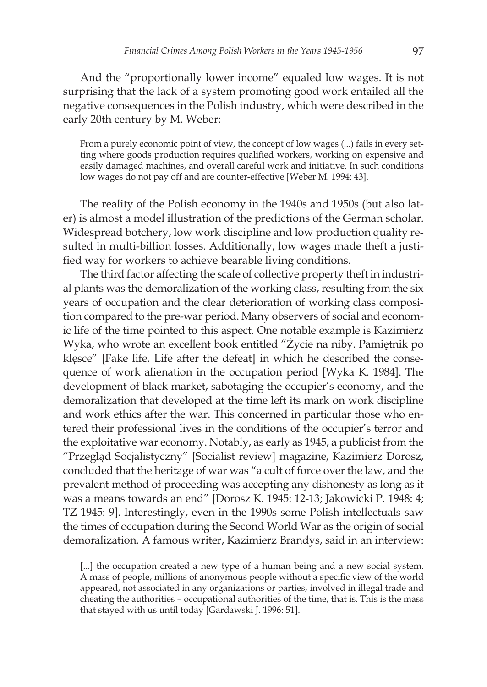And the "proportionally lower income" equaled low wages. It is not surprising that the lack of a system promoting good work entailed all the negative consequences in the Polish industry, which were described in the early 20th century by M. Weber:

From a purely economic point of view, the concept of low wages (...) fails in every setting where goods production requires qualified workers, working on expensive and easily damaged machines, and overall careful work and initiative. In such conditions low wages do not pay off and are counter-effective [Weber M. 1994: 43].

The reality of the Polish economy in the 1940s and 1950s (but also later) is almost a model illustration of the predictions of the German scholar. Widespread botchery, low work discipline and low production quality resulted in multi-billion losses. Additionally, low wages made theft a justified way for workers to achieve bearable living conditions.

The third factor affecting the scale of collective property theft in industrial plants was the demoralization of the working class, resulting from the six years of occupation and the clear deterioration of working class composition compared to the pre-war period. Many observers of social and economic life of the time pointed to this aspect. One notable example is Kazimierz Wyka, who wrote an excellent book entitled "Życie na niby. Pamiętnik po klęsce" [Fake life. Life after the defeat] in which he described the consequence of work alienation in the occupation period [Wyka K. 1984]. The development of black market, sabotaging the occupier's economy, and the demoralization that developed at the time left its mark on work discipline and work ethics after the war. This concerned in particular those who entered their professional lives in the conditions of the occupier's terror and the exploitative war economy. Notably, as early as 1945, a publicist from the "Przegląd Socjalistyczny" [Socialist review] magazine, Kazimierz Dorosz, concluded that the heritage of war was "a cult of force over the law, and the prevalent method of proceeding was accepting any dishonesty as long as it was a means towards an end" [Dorosz K. 1945: 12-13; Jakowicki P. 1948: 4; TZ 1945: 9]. Interestingly, even in the 1990s some Polish intellectuals saw the times of occupation during the Second World War as the origin of social demoralization. A famous writer, Kazimierz Brandys, said in an interview:

[...] the occupation created a new type of a human being and a new social system. A mass of people, millions of anonymous people without a specific view of the world appeared, not associated in any organizations or parties, involved in illegal trade and cheating the authorities – occupational authorities of the time, that is. This is the mass that stayed with us until today [Gardawski J. 1996: 51].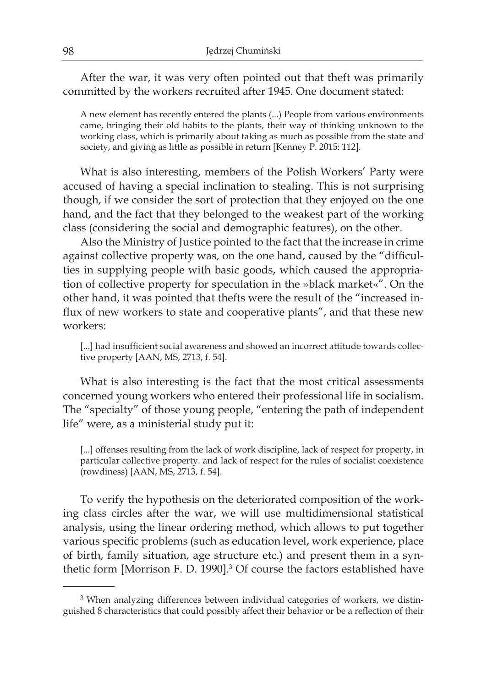After the war, it was very often pointed out that theft was primarily committed by the workers recruited after 1945. One document stated:

A new element has recently entered the plants (...) People from various environments came, bringing their old habits to the plants, their way of thinking unknown to the working class, which is primarily about taking as much as possible from the state and society, and giving as little as possible in return [Kenney P. 2015: 112].

What is also interesting, members of the Polish Workers' Party were accused of having a special inclination to stealing. This is not surprising though, if we consider the sort of protection that they enjoyed on the one hand, and the fact that they belonged to the weakest part of the working class (considering the social and demographic features), on the other.

Also the Ministry of Justice pointed to the fact that the increase in crime against collective property was, on the one hand, caused by the "difficulties in supplying people with basic goods, which caused the appropriation of collective property for speculation in the »black market«". On the other hand, it was pointed that thefts were the result of the "increased influx of new workers to state and cooperative plants", and that these new workers:

[...] had insufficient social awareness and showed an incorrect attitude towards collective property [AAN, MS, 2713, f. 54].

What is also interesting is the fact that the most critical assessments concerned young workers who entered their professional life in socialism. The "specialty" of those young people, "entering the path of independent life" were, as a ministerial study put it:

[...] offenses resulting from the lack of work discipline, lack of respect for property, in particular collective property. and lack of respect for the rules of socialist coexistence (rowdiness) [AAN, MS, 2713, f. 54].

To verify the hypothesis on the deteriorated composition of the working class circles after the war, we will use multidimensional statistical analysis, using the linear ordering method, which allows to put together various specific problems (such as education level, work experience, place of birth, family situation, age structure etc.) and present them in a synthetic form [Morrison F. D. 1990].<sup>3</sup> Of course the factors established have

<sup>&</sup>lt;sup>3</sup> When analyzing differences between individual categories of workers, we distinguished 8 characteristics that could possibly affect their behavior or be a reflection of their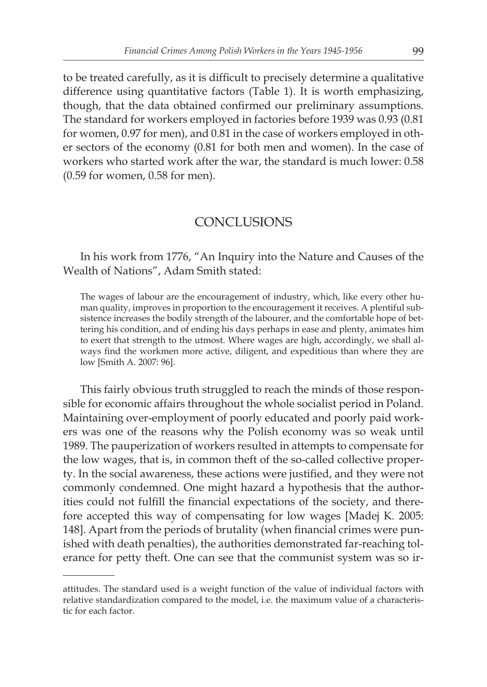to be treated carefully, as it is difficult to precisely determine a qualitative difference using quantitative factors (Table 1). It is worth emphasizing, though, that the data obtained confirmed our preliminary assumptions. The standard for workers employed in factories before 1939 was 0.93 (0.81 for women, 0.97 for men), and 0.81 in the case of workers employed in other sectors of the economy (0.81 for both men and women). In the case of workers who started work after the war, the standard is much lower: 0.58 (0.59 for women, 0.58 for men).

### **CONCLUSIONS**

In his work from 1776, "An Inquiry into the Nature and Causes of the Wealth of Nations", Adam Smith stated:

The wages of labour are the encouragement of industry, which, like every other human quality, improves in proportion to the encouragement it receives. A plentiful subsistence increases the bodily strength of the labourer, and the comfortable hope of bettering his condition, and of ending his days perhaps in ease and plenty, animates him to exert that strength to the utmost. Where wages are high, accordingly, we shall always find the workmen more active, diligent, and expeditious than where they are low [Smith A. 2007: 96].

This fairly obvious truth struggled to reach the minds of those responsible for economic affairs throughout the whole socialist period in Poland. Maintaining over-employment of poorly educated and poorly paid workers was one of the reasons why the Polish economy was so weak until 1989. The pauperization of workers resulted in attempts to compensate for the low wages, that is, in common theft of the so-called collective property. In the social awareness, these actions were justified, and they were not commonly condemned. One might hazard a hypothesis that the authorities could not fulfill the financial expectations of the society, and therefore accepted this way of compensating for low wages [Madej K. 2005: 148]. Apart from the periods of brutality (when financial crimes were punished with death penalties), the authorities demonstrated far-reaching tolerance for petty theft. One can see that the communist system was so ir-

attitudes. The standard used is a weight function of the value of individual factors with relative standardization compared to the model, i.e. the maximum value of a characteristic for each factor.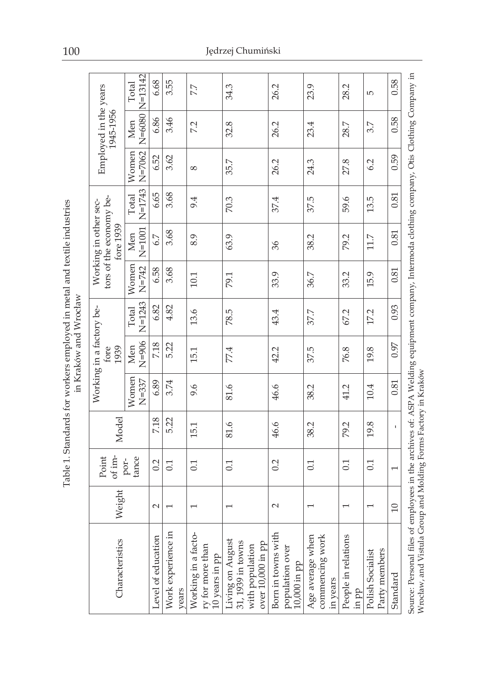| Characteristics                                                                                                                                                                                                | Weight                   | of im-<br>Point          | Model |                    | Working in a factory be-<br>fore<br>1939 |                     |                    | tors of the economy be-<br>Working in other sec-<br>tore 1939 |                     |                     | Employed in the years<br>1945-1956 |       |
|----------------------------------------------------------------------------------------------------------------------------------------------------------------------------------------------------------------|--------------------------|--------------------------|-------|--------------------|------------------------------------------|---------------------|--------------------|---------------------------------------------------------------|---------------------|---------------------|------------------------------------|-------|
|                                                                                                                                                                                                                |                          | tance<br>por-            |       | Women<br>$N = 337$ | $N=906$<br>Men                           | $N = 1243$<br>Total | Women<br>$N = 742$ | $N=1001$<br>Men                                               | $N = 1743$<br>Total | $N = 7062$<br>Women | N=6080  N=13142<br>Men             | Total |
| Level of education                                                                                                                                                                                             | $\sim$                   | 0.2                      | 7.18  | 6.89               | 7.18                                     | 6.82                | 6.58               | 6.7                                                           | 6.65                | 6.52                | 6.86                               | 6.68  |
| Work experience in<br>years                                                                                                                                                                                    | $\overline{\phantom{0}}$ | 0.1                      | 5.22  | 3.74               | 5.22                                     | 4.82                | 3.68               | 3.68                                                          | 3.68                | 3.62                | 3.46                               | 3.55  |
| Working in a facto-<br>ry for more than<br>10 years in pp                                                                                                                                                      | $\overline{\phantom{0}}$ | 0.1                      | 15.1  | 9.6                | 15.1                                     | 13.6                | 10.1               | 8.9                                                           | 9.4                 | $\infty$            | 7.2                                | 77    |
| $\begin{array}{c} \text{Living on August}\\ 31,1939\text{ in towns} \end{array}$<br>over 10,000 in pp<br>with population                                                                                       | $\overline{\phantom{0}}$ | 0.1                      | 81.6  | 81.6               | 77.4                                     | 78.5                | 79.1               | 63.9                                                          | 70.3                | 35.7                | 32.8                               | 34.3  |
| Born in towns with<br>population over<br>10,000 in pp                                                                                                                                                          | $\sim$                   | 0.2                      | 46.6  | 46.6               | 42.2                                     | 43.4                | 33.9               | 96                                                            | 37.4                | 26.2                | 26.2                               | 26.2  |
| Age average when<br>commencing work<br>in years                                                                                                                                                                | $\overline{\phantom{0}}$ | 0.1                      | 38.2  | 38.2               | 37.5                                     | 37.7                | 36.7               | 38.2                                                          | 37.5                | 24.3                | 23.4                               | 23.9  |
| People in relations<br>in pp                                                                                                                                                                                   | $\overline{\phantom{0}}$ | 0.1                      | 79.2  | 41.2               | 76.8                                     | 67.2                | 33.2               | 79.2                                                          | 59.6                | 27.8                | 28.7                               | 28.2  |
| Party members<br>Polish Socialist                                                                                                                                                                              | $\overline{\phantom{0}}$ | 0.1                      | 19.8  | 10.4               | 19.8                                     | 17.2                | 15.9               | 11.7                                                          | 13.5                | 6.2                 | 3.7                                | 5     |
| Standard                                                                                                                                                                                                       | $\Omega$                 | $\overline{\phantom{0}}$ | f,    | 0.81               | 0.97                                     | 0.93                | 0.81               | 0.81                                                          | 0.81                | 0.59                | 0.58                               | 0.58  |
| Source: Personal files of employees in the archives of: ASPA Welding equipment company, Intermoda clothing company, Otis Clothing Company in<br>Wrocław, and Vistula Group and Molding Forms Factory in Kraków |                          |                          |       |                    |                                          |                     |                    |                                                               |                     |                     |                                    |       |

100 Jędrzej Chumiński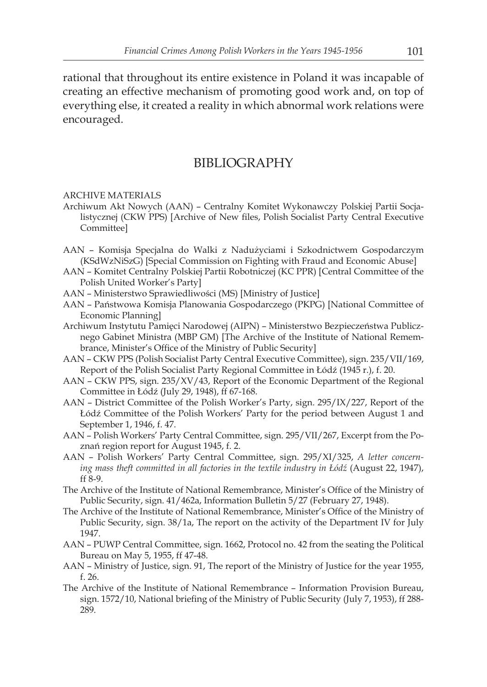rational that throughout its entire existence in Poland it was incapable of creating an effective mechanism of promoting good work and, on top of everything else, it created a reality in which abnormal work relations were encouraged.

### BIBLIOGRAPHY

#### ARCHIVE MATERIALS

- Archiwum Akt Nowych (AAN) Centralny Komitet Wykonawczy Polskiej Partii Socjalistycznej (CKW PPS) [Archive of New files, Polish Socialist Party Central Executive Committee]
- AAN Komisja Specjalna do Walki z Nadużyciami i Szkodnictwem Gospodarczym (KSdWzNiSzG) [Special Commission on Fighting with Fraud and Economic Abuse]
- AAN Komitet Centralny Polskiej Partii Robotniczej (KC PPR) [Central Committee of the Polish United Worker's Party]
- AAN Ministerstwo Sprawiedliwości (MS) [Ministry of Justice]
- AAN Państwowa Komisja Planowania Gospodarczego (PKPG) [National Committee of Economic Planning]
- Archiwum Instytutu Pamięci Narodowej (AIPN) Ministerstwo Bezpieczeństwa Publicznego Gabinet Ministra (MBP GM) [The Archive of the Institute of National Remembrance, Minister's Office of the Ministry of Public Security]
- AAN CKW PPS (Polish Socialist Party Central Executive Committee), sign. 235/VII/169, Report of the Polish Socialist Party Regional Committee in Łódź (1945 r.), f. 20.
- AAN CKW PPS, sign. 235/XV/43, Report of the Economic Department of the Regional Committee in Łódź (July 29, 1948), ff 67-168.
- AAN District Committee of the Polish Worker's Party, sign. 295/IX/227, Report of the Łódź Committee of the Polish Workers' Party for the period between August 1 and September 1, 1946, f. 47.
- AAN Polish Workers' Party Central Committee, sign. 295/VII/267, Excerpt from the Poznań region report for August 1945, f. 2.
- AAN Polish Workers' Party Central Committee, sign. 295/XI/325, *A letter concern*ing mass theft committed in all factories in the textile industry in Łódź (August 22, 1947), ff 8-9.
- The Archive of the Institute of National Remembrance, Minister's Office of the Ministry of Public Security, sign. 41/462a, Information Bulletin 5/27 (February 27, 1948).
- The Archive of the Institute of National Remembrance, Minister's Office of the Ministry of Public Security, sign. 38/1a, The report on the activity of the Department IV for July 1947.
- AAN PUWP Central Committee, sign. 1662, Protocol no. 42 from the seating the Political Bureau on May 5, 1955, ff 47-48.
- AAN Ministry of Justice, sign. 91, The report of the Ministry of Justice for the year 1955, f. 26.
- The Archive of the Institute of National Remembrance Information Provision Bureau, sign. 1572/10, National briefing of the Ministry of Public Security (July 7, 1953), ff 288- 289.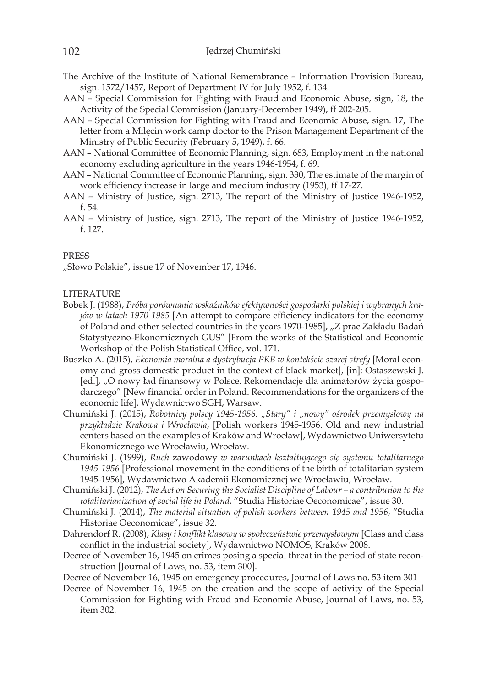- The Archive of the Institute of National Remembrance Information Provision Bureau, sign. 1572/1457, Report of Department IV for July 1952, f. 134.
- AAN Special Commission for Fighting with Fraud and Economic Abuse, sign, 18, the Activity of the Special Commission (January-December 1949), ff 202-205.
- AAN Special Commission for Fighting with Fraud and Economic Abuse, sign. 17, The letter from a Milęcin work camp doctor to the Prison Management Department of the Ministry of Public Security (February 5, 1949), f. 66.
- AAN National Committee of Economic Planning, sign. 683, Employment in the national economy excluding agriculture in the years 1946-1954, f. 69.
- AAN National Committee of Economic Planning, sign. 330, The estimate of the margin of work efficiency increase in large and medium industry (1953), ff 17-27.
- AAN Ministry of Justice, sign. 2713, The report of the Ministry of Justice 1946-1952, f. 54.
- AAN Ministry of Justice, sign. 2713, The report of the Ministry of Justice 1946-1952, f. 127.

#### PRESS

"Słowo Polskie", issue 17 of November 17, 1946.

#### LITERATURE

- Bobek J. (1988), *Próba porównania wskaźników efektywności gospodarki polskiej i wybranych krajów w latach 1970-1985* [An attempt to compare efficiency indicators for the economy of Poland and other selected countries in the years 1970-1985], "Z prac Zakładu Badań Statystyczno-Ekonomicznych GUS" [From the works of the Statistical and Economic Workshop of the Polish Statistical Office, vol. 171.
- Buszko A. (2015), *Ekonomia moralna a dystrybucja PKB w kontekście szarej strefy* [Moral economy and gross domestic product in the context of black market], [in]: Ostaszewski J. [ed.], "O nowy ład finansowy w Polsce. Rekomendacje dla animatorów życia gospodarczego" [New financial order in Poland. Recommendations for the organizers of the economic life], Wydawnictwo SGH, Warsaw.
- Chumiński J. (2015), *Robotnicy polscy 1945-1956. "Stary" i "nowy" ośrodek przemysłowy na przykładzie Krakowa i Wrocławia*, [Polish workers 1945-1956. Old and new industrial centers based on the examples of Kraków and Wrocław], Wydawnictwo Uniwersytetu Ekonomicznego we Wrocławiu, Wrocław.
- Chumiński J. (1999), *Ruch* zawodowy *w warunkach kształtującego się systemu totalitarnego 1945-1956* [Professional movement in the conditions of the birth of totalitarian system 1945-1956], Wydawnictwo Akademii Ekonomicznej we Wrocławiu, Wrocław.
- Chumiński J. (2012), *The Act on Securing the Socialist Discipline of Labour a contribution to the totalitarianization of social life in Poland*, "Studia Historiae Oeconomicae", issue 30.
- Chumiński J. (2014), *The material situation of polish workers between 1945 and 1956*, "Studia Historiae Oeconomicae", issue 32.
- Dahrendorf R. (2008), *Klasy i konflikt klasowy w społeczeństwie przemysłowym* [Class and class conflict in the industrial society], Wydawnictwo NOMOS, Kraków 2008.
- Decree of November 16, 1945 on crimes posing a special threat in the period of state reconstruction [Journal of Laws, no. 53, item 300].
- Decree of November 16, 1945 on emergency procedures, Journal of Laws no. 53 item 301
- Decree of November 16, 1945 on the creation and the scope of activity of the Special Commission for Fighting with Fraud and Economic Abuse, Journal of Laws, no. 53, item 302.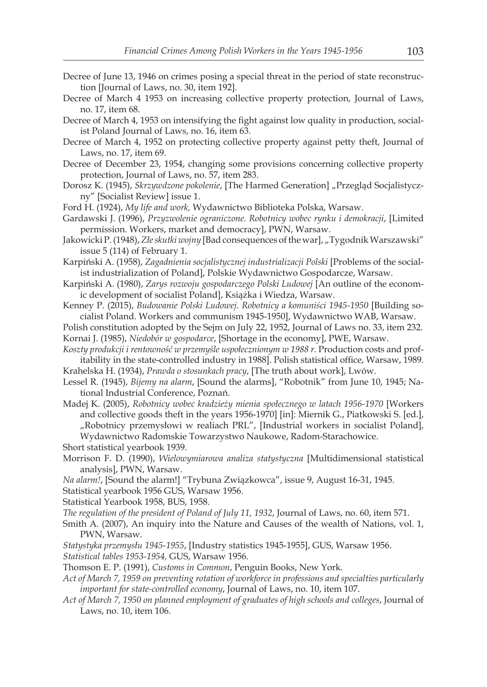- Decree of June 13, 1946 on crimes posing a special threat in the period of state reconstruction [Journal of Laws, no. 30, item 192].
- Decree of March 4 1953 on increasing collective property protection, Journal of Laws, no. 17, item 68.
- Decree of March 4, 1953 on intensifying the fight against low quality in production, socialist Poland Journal of Laws, no. 16, item 63.
- Decree of March 4, 1952 on protecting collective property against petty theft, Journal of Laws, no. 17, item 69.
- Decree of December 23, 1954, changing some provisions concerning collective property protection, Journal of Laws, no. 57, item 283.
- Dorosz K. (1945), *Skrzywdzone pokolenie*, [The Harmed Generation] "Przegląd Socjalistyczny" [Socialist Review] issue 1.
- Ford H. (1924), *My life and work,* Wydawnictwo Biblioteka Polska, Warsaw.
- Gardawski J. (1996), *Przyzwolenie ograniczone. Robotnicy wobec rynku i demokracji*, [Limited permission. Workers, market and democracy], PWN, Warsaw.
- Jakowicki P. (1948), *Złe skutki wojny* [Bad consequences of the war], "Tygodnik Warszawski" issue 5 (114) of February 1.
- Karpiński A. (1958), *Zagadnienia socjalistycznej industrializacji Polski* [Problems of the socialist industrialization of Poland], Polskie Wydawnictwo Gospodarcze, Warsaw.
- Karpiński A. (1980), *Zarys rozwoju gospodarczego Polski Ludowej* [An outline of the economic development of socialist Poland], Książka i Wiedza, Warsaw.
- Kenney P. (2015), *Budowanie Polski Ludowej. Robotnicy a komuniści 1945-1950* [Building socialist Poland. Workers and communism 1945-1950], Wydawnictwo WAB, Warsaw.
- Polish constitution adopted by the Sejm on July 22, 1952, Journal of Laws no. 33, item 232. Kornai J. (1985), *Niedobór w gospodarce*, [Shortage in the economy], PWE, Warsaw.
- *Koszty produkcji i rentowność w przemyśle uspołecznionym w 1988 r.* Production costs and profitability in the state-controlled industry in 1988]. Polish statistical office, Warsaw, 1989.
- Krahelska H. (1934), *Prawda o stosunkach pracy*, [The truth about work], Lwów.
- Lessel R. (1945), *Bijemy na alarm*, [Sound the alarms], "Robotnik" from June 10, 1945; National Industrial Conference, Poznań.
- Madej K. (2005), *Robotnicy wobec kradzieży mienia społecznego w latach 1956-1970* [Workers and collective goods theft in the years 1956-1970] [in]: Miernik G., Piatkowski S. [ed.], "Robotnicy przemysłowi w realiach PRL", [Industrial workers in socialist Poland], Wydawnictwo Radomskie Towarzystwo Naukowe, Radom-Starachowice.
- Short statistical yearbook 1939.
- Morrison F. D. (1990), *Wielowymiarowa analiza statystyczna* [Multidimensional statistical analysis], PWN, Warsaw.
- *Na alarm!*, [Sound the alarm!] "Trybuna Związkowca", issue 9, August 16-31, 1945. Statistical yearbook 1956 GUS, Warsaw 1956.
- Statistical Yearbook 1958, BUS, 1958.
- *The regulation of the president of Poland of July 11, 1932*, Journal of Laws, no. 60, item 571.
- Smith A. (2007), An inquiry into the Nature and Causes of the wealth of Nations, vol. 1, PWN, Warsaw.
- *Statystyka przemysłu 1945-1955*, [Industry statistics 1945-1955], GUS, Warsaw 1956. *Statistical tables 1953-1954,* GUS, Warsaw 1956.
- Thomson E. P. (1991), *Customs in Common*, Penguin Books, New York.
- *Act of March 7, 1959 on preventing rotation of workforce in professions and specialties particularly important for state-controlled economy*, Journal of Laws, no. 10, item 107.
- *Act of March 7, 1950 on planned employment of graduates of high schools and colleges*, Journal of Laws, no. 10, item 106.